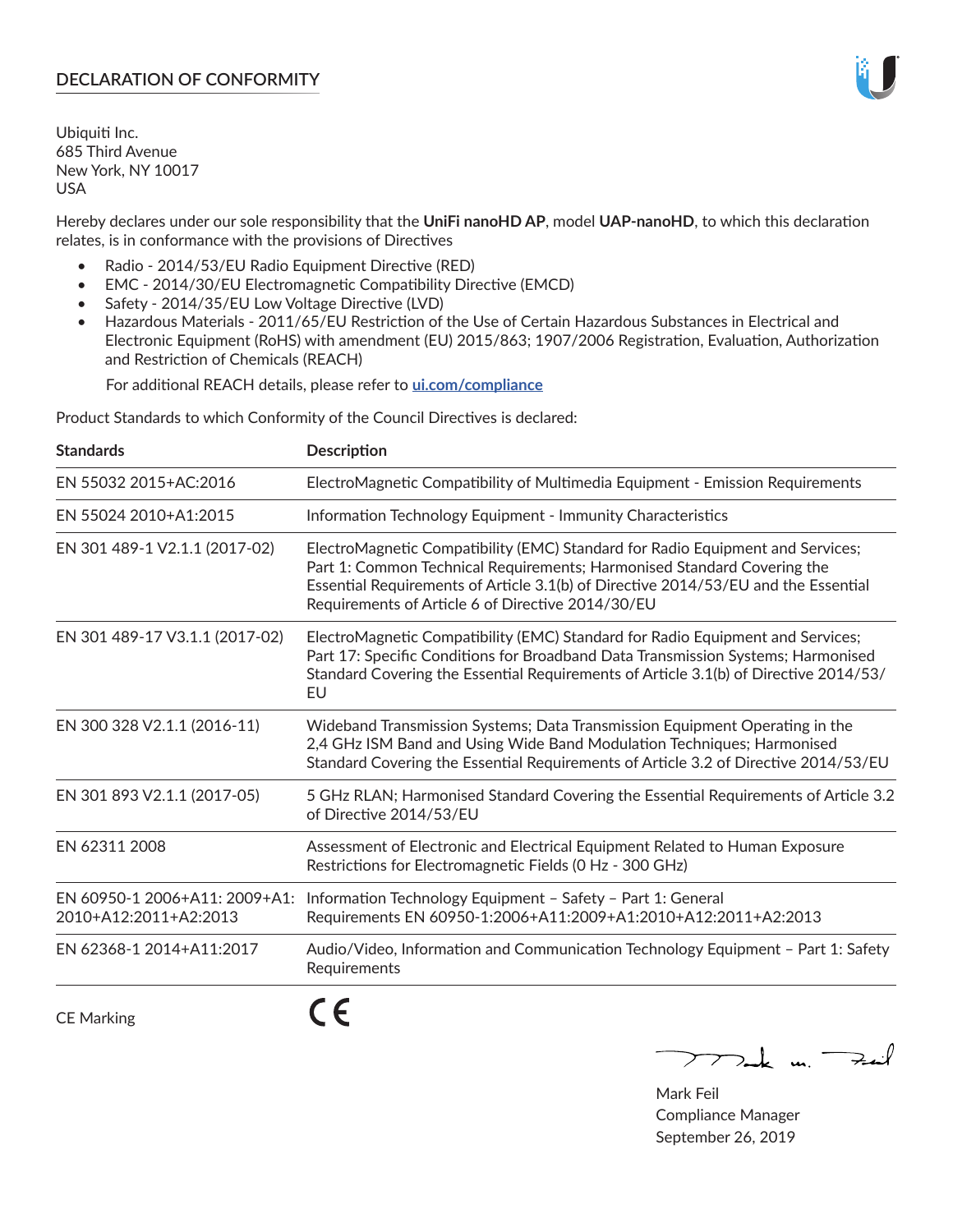# **DECLARATION OF CONFORMITY**

Ubiquiti Inc. 685 Third Avenue New York, NY 10017 USA

Hereby declares under our sole responsibility that the **UniFi nanoHD AP**, model **UAP-nanoHD**, to which this declaration relates, is in conformance with the provisions of Directives

- Radio 2014/53/EU Radio Equipment Directive (RED)
- EMC 2014/30/EU Electromagnetic Compatibility Directive (EMCD)
- Safety 2014/35/EU Low Voltage Directive (LVD)
- Hazardous Materials 2011/65/EU Restriction of the Use of Certain Hazardous Substances in Electrical and Electronic Equipment (RoHS) with amendment (EU) 2015/863; 1907/2006 Registration, Evaluation, Authorization and Restriction of Chemicals (REACH)

For additional REACH details, please refer to **[ui.com/compliance](https://dl.ui.com/compliance/REACH_Compliance_Declaration.pdf)**

Product Standards to which Conformity of the Council Directives is declared:

| <b>Standards</b>                                       | <b>Description</b>                                                                                                                                                                                                                                                                                   |
|--------------------------------------------------------|------------------------------------------------------------------------------------------------------------------------------------------------------------------------------------------------------------------------------------------------------------------------------------------------------|
| EN 55032 2015+AC:2016                                  | ElectroMagnetic Compatibility of Multimedia Equipment - Emission Requirements                                                                                                                                                                                                                        |
| EN 55024 2010+A1:2015                                  | Information Technology Equipment - Immunity Characteristics                                                                                                                                                                                                                                          |
| EN 301 489-1 V2.1.1 (2017-02)                          | ElectroMagnetic Compatibility (EMC) Standard for Radio Equipment and Services;<br>Part 1: Common Technical Requirements; Harmonised Standard Covering the<br>Essential Requirements of Article 3.1(b) of Directive 2014/53/EU and the Essential<br>Requirements of Article 6 of Directive 2014/30/EU |
| EN 301 489-17 V3.1.1 (2017-02)                         | ElectroMagnetic Compatibility (EMC) Standard for Radio Equipment and Services;<br>Part 17: Specific Conditions for Broadband Data Transmission Systems; Harmonised<br>Standard Covering the Essential Requirements of Article 3.1(b) of Directive 2014/53/<br>EU                                     |
| EN 300 328 V2.1.1 (2016-11)                            | Wideband Transmission Systems; Data Transmission Equipment Operating in the<br>2,4 GHz ISM Band and Using Wide Band Modulation Techniques; Harmonised<br>Standard Covering the Essential Requirements of Article 3.2 of Directive 2014/53/EU                                                         |
| EN 301 893 V2.1.1 (2017-05)                            | 5 GHz RLAN; Harmonised Standard Covering the Essential Requirements of Article 3.2<br>of Directive 2014/53/EU                                                                                                                                                                                        |
| EN 62311 2008                                          | Assessment of Electronic and Electrical Equipment Related to Human Exposure<br>Restrictions for Electromagnetic Fields (0 Hz - 300 GHz)                                                                                                                                                              |
| EN 60950-1 2006+A11: 2009+A1:<br>2010+A12:2011+A2:2013 | Information Technology Equipment - Safety - Part 1: General<br>Requirements EN 60950-1:2006+A11:2009+A1:2010+A12:2011+A2:2013                                                                                                                                                                        |
| EN 62368-1 2014+A11:2017                               | Audio/Video, Information and Communication Technology Equipment - Part 1: Safety<br>Requirements                                                                                                                                                                                                     |
| <b>CE Marking</b>                                      |                                                                                                                                                                                                                                                                                                      |

Tak m. Fail  $\overline{\phantom{1}}$ 

Mark Feil Compliance Manager September 26, 2019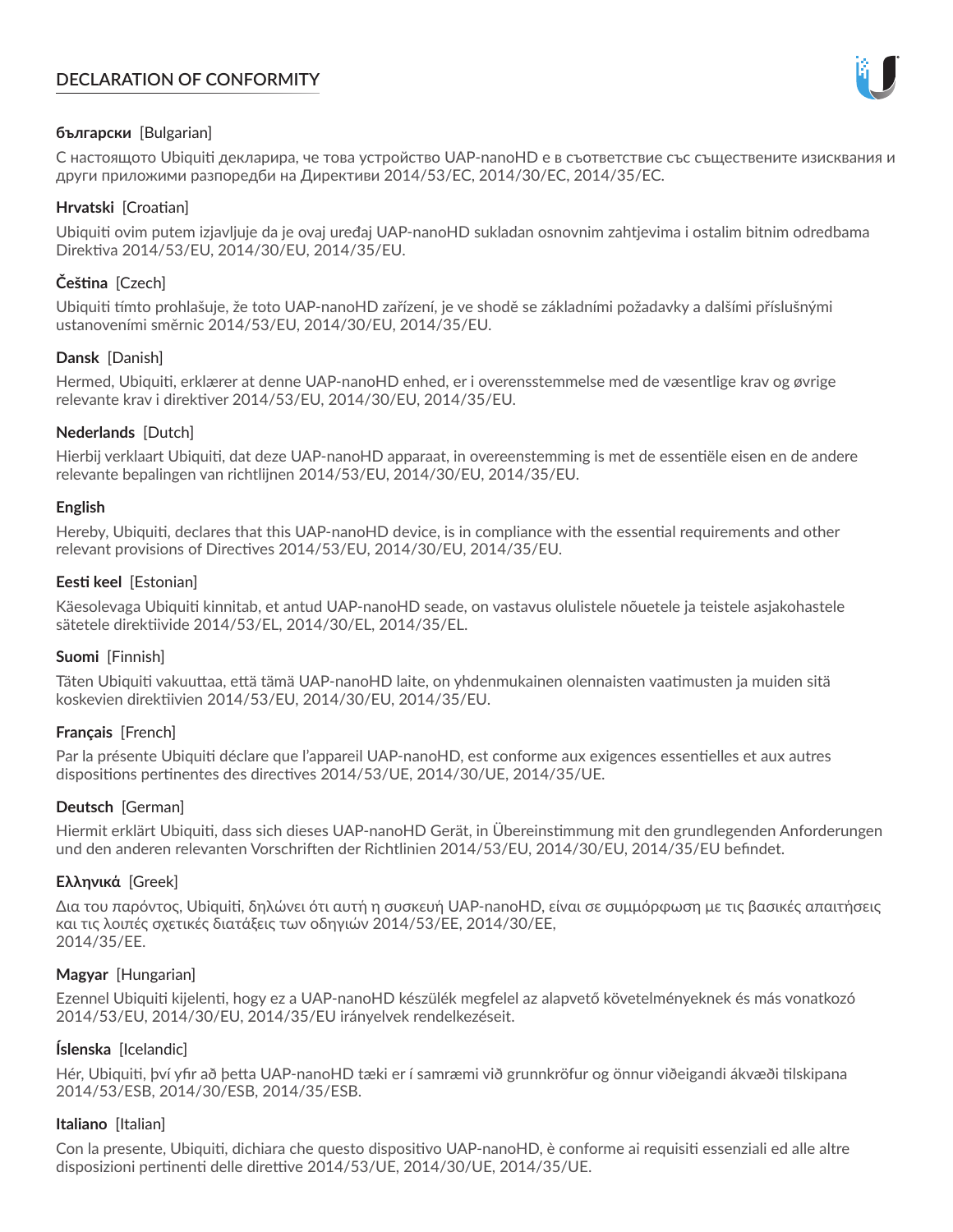# **DECLARATION OF CONFORMITY**



# **български** [Bulgarian]

С настоящото Ubiquiti декларира, че това устройство UAP-nanoHD е в съответствие със съществените изисквания и други приложими разпоредби на Директиви 2014/53/EC, 2014/30/ЕС, 2014/35/ЕС.

# **Hrvatski** [Croatian]

Ubiquiti ovim putem izjavljuje da je ovaj uređaj UAP-nanoHD sukladan osnovnim zahtjevima i ostalim bitnim odredbama Direktiva 2014/53/EU, 2014/30/EU, 2014/35/EU.

# **Čeština** [Czech]

Ubiquiti tímto prohlašuje, že toto UAP-nanoHD zařízení, je ve shodě se základními požadavky a dalšími příslušnými ustanoveními směrnic 2014/53/EU, 2014/30/EU, 2014/35/EU.

### **Dansk** [Danish]

Hermed, Ubiquiti, erklærer at denne UAP-nanoHD enhed, er i overensstemmelse med de væsentlige krav og øvrige relevante krav i direktiver 2014/53/EU, 2014/30/EU, 2014/35/EU.

### **Nederlands** [Dutch]

Hierbij verklaart Ubiquiti, dat deze UAP-nanoHD apparaat, in overeenstemming is met de essentiële eisen en de andere relevante bepalingen van richtlijnen 2014/53/EU, 2014/30/EU, 2014/35/EU.

### **English**

Hereby, Ubiquiti, declares that this UAP-nanoHD device, is in compliance with the essential requirements and other relevant provisions of Directives 2014/53/EU, 2014/30/EU, 2014/35/EU.

### **Eesti keel** [Estonian]

Käesolevaga Ubiquiti kinnitab, et antud UAP-nanoHD seade, on vastavus olulistele nõuetele ja teistele asjakohastele sätetele direktiivide 2014/53/EL, 2014/30/EL, 2014/35/EL.

# **Suomi** [Finnish]

Täten Ubiquiti vakuuttaa, että tämä UAP-nanoHD laite, on yhdenmukainen olennaisten vaatimusten ja muiden sitä koskevien direktiivien 2014/53/EU, 2014/30/EU, 2014/35/EU.

# **Français** [French]

Par la présente Ubiquiti déclare que l'appareil UAP-nanoHD, est conforme aux exigences essentielles et aux autres dispositions pertinentes des directives 2014/53/UE, 2014/30/UE, 2014/35/UE.

# **Deutsch** [German]

Hiermit erklärt Ubiquiti, dass sich dieses UAP-nanoHD Gerät, in Übereinstimmung mit den grundlegenden Anforderungen und den anderen relevanten Vorschriften der Richtlinien 2014/53/EU, 2014/30/EU, 2014/35/EU befindet.

# **Ελληνικά** [Greek]

Δια του παρόντος, Ubiquiti, δηλώνει ότι αυτή η συσκευή UAP-nanoHD, είναι σε συμμόρφωση με τις βασικές απαιτήσεις και τις λοιπές σχετικές διατάξεις των οδηγιών 2014/53/EE, 2014/30/EE, 2014/35/EE.

#### **Magyar** [Hungarian]

Ezennel Ubiquiti kijelenti, hogy ez a UAP-nanoHD készülék megfelel az alapvető követelményeknek és más vonatkozó 2014/53/EU, 2014/30/EU, 2014/35/EU irányelvek rendelkezéseit.

# **Íslenska** [Icelandic]

Hér, Ubiquiti, því yfir að þetta UAP-nanoHD tæki er í samræmi við grunnkröfur og önnur viðeigandi ákvæði tilskipana 2014/53/ESB, 2014/30/ESB, 2014/35/ESB.

#### **Italiano** [Italian]

Con la presente, Ubiquiti, dichiara che questo dispositivo UAP-nanoHD, è conforme ai requisiti essenziali ed alle altre disposizioni pertinenti delle direttive 2014/53/UE, 2014/30/UE, 2014/35/UE.